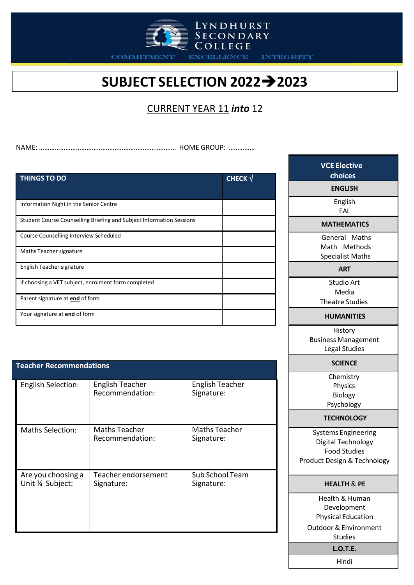

**EXCELLENCE** 

LYNDHURST<br>SECONDARY<br>COLLEGE

**INTEGRITY** 

# **SUBJECT SELECTION 20222023**

### CURRENT YEAR 11 *into* 12

NAME: …………………………………………………………………… HOME GROUP: ……………

| <b>THINGS TO DO</b>                                                  | <b>CHECK</b> $\sqrt{}$ |
|----------------------------------------------------------------------|------------------------|
|                                                                      |                        |
|                                                                      |                        |
| Information Night in the Senior Centre                               |                        |
| Student Course Counselling Briefing and Subject Information Sessions |                        |
| Course Counselling Interview Scheduled                               |                        |
| Maths Teacher signature                                              |                        |
| English Teacher signature                                            |                        |
| If choosing a VET subject, enrolment form completed                  |                        |
| Parent signature at end of form                                      |                        |
| Your signature at end of form                                        |                        |

| <b>Teacher Recommendations</b>        |                                           |                                      |  |
|---------------------------------------|-------------------------------------------|--------------------------------------|--|
| <b>English Selection:</b>             | <b>English Teacher</b><br>Recommendation: | <b>English Teacher</b><br>Signature: |  |
| <b>Maths Selection:</b>               | <b>Maths Teacher</b><br>Recommendation:   | <b>Maths Teacher</b><br>Signature:   |  |
| Are you choosing a<br>Unit % Subject: | Teacher endorsement<br>Signature:         | Sub School Team<br>Signature:        |  |

| <b>VCE Elective</b>                                |  |  |
|----------------------------------------------------|--|--|
| choices                                            |  |  |
| <b>ENGLISH</b>                                     |  |  |
| English                                            |  |  |
| EAL                                                |  |  |
| <b>MATHEMATICS</b>                                 |  |  |
| General Maths                                      |  |  |
| Math Methods                                       |  |  |
| <b>Specialist Maths</b>                            |  |  |
| <b>ART</b>                                         |  |  |
| <b>Studio Art</b>                                  |  |  |
| Media                                              |  |  |
| <b>Theatre Studies</b>                             |  |  |
| <b>HUMANITIES</b>                                  |  |  |
| History                                            |  |  |
| <b>Business Management</b>                         |  |  |
| <b>Legal Studies</b>                               |  |  |
| <b>SCIENCE</b>                                     |  |  |
| Chemistry                                          |  |  |
| Physics                                            |  |  |
| Biology<br>Psychology                              |  |  |
| <b>TECHNOLOGY</b>                                  |  |  |
|                                                    |  |  |
| <b>Systems Engineering</b>                         |  |  |
| Digital Technology<br><b>Food Studies</b>          |  |  |
| Product Design & Technology                        |  |  |
|                                                    |  |  |
| <b>HEALTH &amp; PE</b>                             |  |  |
| Health & Human                                     |  |  |
| Development                                        |  |  |
| <b>Physical Education</b>                          |  |  |
| <b>Outdoor &amp; Environment</b><br><b>Studies</b> |  |  |
|                                                    |  |  |
| <b>L.O.T.E.</b>                                    |  |  |

Hindi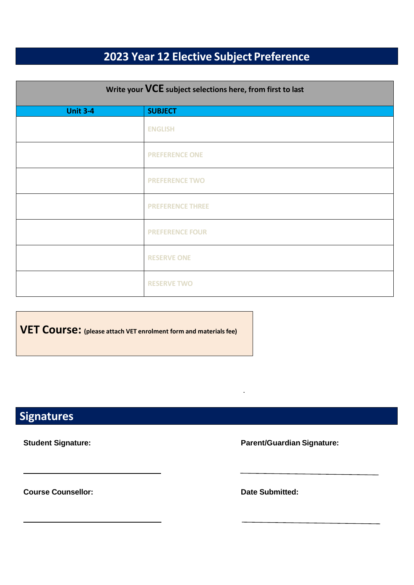# **2023 Year 12 Elective Subject Preference**

| Write your VCE subject selections here, from first to last |                         |  |
|------------------------------------------------------------|-------------------------|--|
| <b>Unit 3-4</b>                                            | <b>SUBJECT</b>          |  |
|                                                            | <b>ENGLISH</b>          |  |
|                                                            | <b>PREFERENCE ONE</b>   |  |
|                                                            | <b>PREFERENCE TWO</b>   |  |
|                                                            | <b>PREFERENCE THREE</b> |  |
|                                                            | <b>PREFERENCE FOUR</b>  |  |
|                                                            | <b>RESERVE ONE</b>      |  |
|                                                            | <b>RESERVE TWO</b>      |  |

**VET Course: (please attach VET enrolment form and materialsfee)**

## **Signatures**

**Student Signature: Parent/Guardian Signature:**

**Course Counsellor: Date** Submitted: